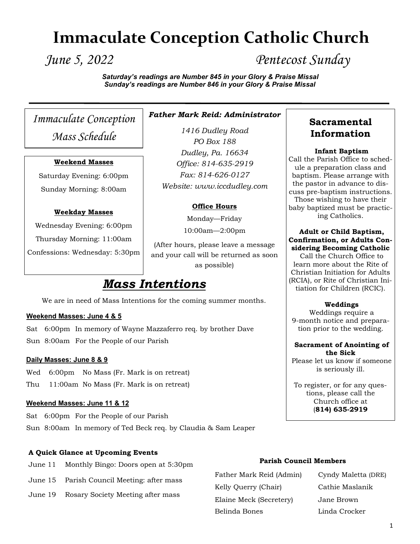# **Immaculate Conception Catholic Church**

*June 5, 2022 Pentecost Sunday*

*Saturday's readings are Number 845 in your Glory & Praise Missal Sunday's readings are Number 846 in your Glory & Praise Missal*

*Immaculate Conception Mass Schedule*

#### **Weekend Masses**

Saturday Evening: 6:00pm Sunday Morning: 8:00am

#### **Weekday Masses**

Wednesday Evening: 6:00pm Thursday Morning: 11:00am Confessions: Wednesday: 5:30pm

# *Father Mark Reid: Administrator*

*1416 Dudley Road PO Box 188 Dudley, Pa. 16634 Office: 814-635-2919 Fax: 814-626-0127 Website: www.iccdudley.com*

#### **Office Hours**

Monday—Friday

10:00am—2:00pm

(After hours, please leave a message and your call will be returned as soon as possible)

# *Mass Intentions*

We are in need of Mass Intentions for the coming summer months.

#### **Weekend Masses: June 4 & 5**

Sat 6:00pm In memory of Wayne Mazzaferro req. by brother Dave Sun 8:00am For the People of our Parish

#### **Daily Masses: June 8 & 9**

Wed 6:00pm No Mass (Fr. Mark is on retreat) Thu 11:00am No Mass (Fr. Mark is on retreat)

#### **Weekend Masses: June 11 & 12**

Sat 6:00pm For the People of our Parish Sun 8:00am In memory of Ted Beck req. by Claudia & Sam Leaper

#### **A Quick Glance at Upcoming Events**

- June 11 Monthly Bingo: Doors open at 5:30pm
- June 15 Parish Council Meeting: after mass
- June 19 Rosary Society Meeting after mass

#### **Parish Council Members**

Father Mark Reid (Admin) Cyndy Maletta (DRE) Kelly Querry (Chair) Cathie Maslanik Elaine Meck (Secretery) Jane Brown Belinda Bones Linda Crocker

# **Sacramental Information**

#### **Infant Baptism**

Call the Parish Office to schedule a preparation class and baptism. Please arrange with the pastor in advance to discuss pre-baptism instructions. Those wishing to have their baby baptized must be practicing Catholics.

#### **Adult or Child Baptism, Confirmation, or Adults Considering Becoming Catholic**

Call the Church Office to learn more about the Rite of Christian Initiation for Adults (RCIA), or Rite of Christian Initiation for Children (RCIC).

#### **Weddings**

Weddings require a 9-month notice and preparation prior to the wedding.

#### **Sacrament of Anointing of the Sick**

Please let us know if someone is seriously ill.

To register, or for any questions, please call the Church office at (**814) 635-2919**